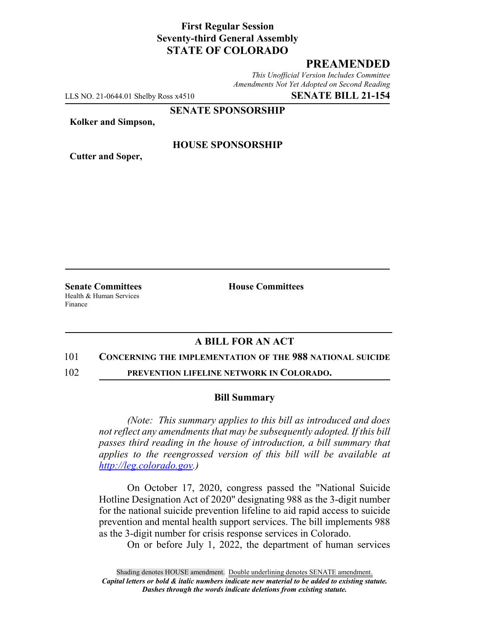# **First Regular Session Seventy-third General Assembly STATE OF COLORADO**

## **PREAMENDED**

*This Unofficial Version Includes Committee Amendments Not Yet Adopted on Second Reading*

LLS NO. 21-0644.01 Shelby Ross x4510 **SENATE BILL 21-154**

**SENATE SPONSORSHIP**

**Kolker and Simpson,**

**Cutter and Soper,**

### **HOUSE SPONSORSHIP**

**Senate Committees House Committees** Health & Human Services Finance

## **A BILL FOR AN ACT**

### 101 **CONCERNING THE IMPLEMENTATION OF THE 988 NATIONAL SUICIDE**

102 **PREVENTION LIFELINE NETWORK IN COLORADO.**

### **Bill Summary**

*(Note: This summary applies to this bill as introduced and does not reflect any amendments that may be subsequently adopted. If this bill passes third reading in the house of introduction, a bill summary that applies to the reengrossed version of this bill will be available at http://leg.colorado.gov.)*

On October 17, 2020, congress passed the "National Suicide Hotline Designation Act of 2020" designating 988 as the 3-digit number for the national suicide prevention lifeline to aid rapid access to suicide prevention and mental health support services. The bill implements 988 as the 3-digit number for crisis response services in Colorado.

On or before July 1, 2022, the department of human services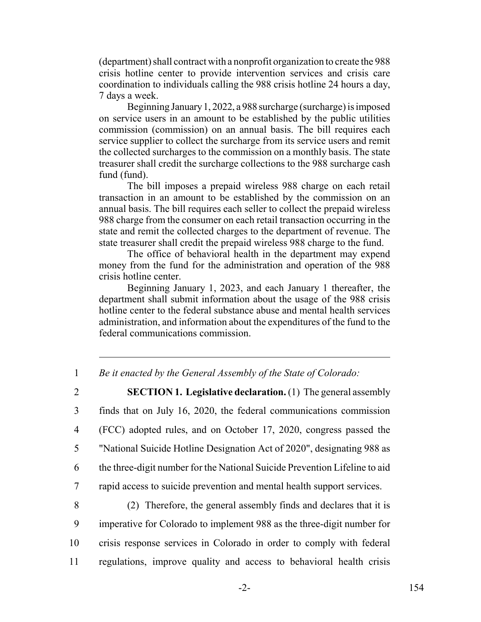(department) shall contract with a nonprofit organization to create the 988 crisis hotline center to provide intervention services and crisis care coordination to individuals calling the 988 crisis hotline 24 hours a day, 7 days a week.

Beginning January 1, 2022, a 988 surcharge (surcharge) is imposed on service users in an amount to be established by the public utilities commission (commission) on an annual basis. The bill requires each service supplier to collect the surcharge from its service users and remit the collected surcharges to the commission on a monthly basis. The state treasurer shall credit the surcharge collections to the 988 surcharge cash fund (fund).

The bill imposes a prepaid wireless 988 charge on each retail transaction in an amount to be established by the commission on an annual basis. The bill requires each seller to collect the prepaid wireless 988 charge from the consumer on each retail transaction occurring in the state and remit the collected charges to the department of revenue. The state treasurer shall credit the prepaid wireless 988 charge to the fund.

The office of behavioral health in the department may expend money from the fund for the administration and operation of the 988 crisis hotline center.

Beginning January 1, 2023, and each January 1 thereafter, the department shall submit information about the usage of the 988 crisis hotline center to the federal substance abuse and mental health services administration, and information about the expenditures of the fund to the federal communications commission.

1 *Be it enacted by the General Assembly of the State of Colorado:*

 **SECTION 1. Legislative declaration.** (1) The general assembly finds that on July 16, 2020, the federal communications commission (FCC) adopted rules, and on October 17, 2020, congress passed the "National Suicide Hotline Designation Act of 2020", designating 988 as the three-digit number for the National Suicide Prevention Lifeline to aid rapid access to suicide prevention and mental health support services.

 (2) Therefore, the general assembly finds and declares that it is imperative for Colorado to implement 988 as the three-digit number for crisis response services in Colorado in order to comply with federal regulations, improve quality and access to behavioral health crisis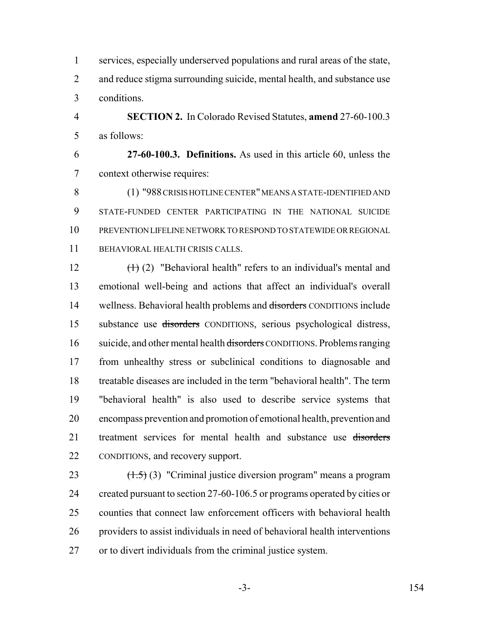services, especially underserved populations and rural areas of the state, 2 and reduce stigma surrounding suicide, mental health, and substance use conditions.

 **SECTION 2.** In Colorado Revised Statutes, **amend** 27-60-100.3 as follows:

 **27-60-100.3. Definitions.** As used in this article 60, unless the context otherwise requires:

 (1) "988 CRISIS HOTLINE CENTER" MEANS A STATE-IDENTIFIED AND STATE-FUNDED CENTER PARTICIPATING IN THE NATIONAL SUICIDE PREVENTION LIFELINE NETWORK TO RESPOND TO STATEWIDE OR REGIONAL BEHAVIORAL HEALTH CRISIS CALLS.

 $(\text{+)}(2)$  "Behavioral health" refers to an individual's mental and emotional well-being and actions that affect an individual's overall 14 wellness. Behavioral health problems and disorders CONDITIONS include substance use disorders CONDITIONS, serious psychological distress, 16 suicide, and other mental health <del>disorders</del> CONDITIONS. Problems ranging from unhealthy stress or subclinical conditions to diagnosable and treatable diseases are included in the term "behavioral health". The term "behavioral health" is also used to describe service systems that encompass prevention and promotion of emotional health, prevention and 21 treatment services for mental health and substance use disorders CONDITIONS, and recovery support.

 $(1.5)$  (3) "Criminal justice diversion program" means a program 24 created pursuant to section 27-60-106.5 or programs operated by cities or counties that connect law enforcement officers with behavioral health providers to assist individuals in need of behavioral health interventions or to divert individuals from the criminal justice system.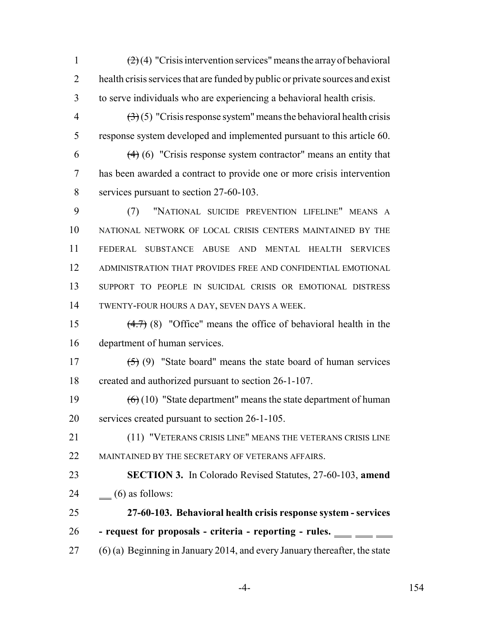1  $\left(2\right)(4)$  "Crisis intervention services" means the array of behavioral 2 health crisis services that are funded by public or private sources and exist to serve individuals who are experiencing a behavioral health crisis.

 $\left(\frac{3}{2}\right)$  (5) "Crisis response system" means the behavioral health crisis response system developed and implemented pursuant to this article 60.

6  $(4)$  (6) "Crisis response system contractor" means an entity that has been awarded a contract to provide one or more crisis intervention services pursuant to section 27-60-103.

 (7) "NATIONAL SUICIDE PREVENTION LIFELINE" MEANS A NATIONAL NETWORK OF LOCAL CRISIS CENTERS MAINTAINED BY THE FEDERAL SUBSTANCE ABUSE AND MENTAL HEALTH SERVICES ADMINISTRATION THAT PROVIDES FREE AND CONFIDENTIAL EMOTIONAL SUPPORT TO PEOPLE IN SUICIDAL CRISIS OR EMOTIONAL DISTRESS TWENTY-FOUR HOURS A DAY, SEVEN DAYS A WEEK.

 (4.7) (8) "Office" means the office of behavioral health in the department of human services.

17  $(5)(9)$  "State board" means the state board of human services created and authorized pursuant to section 26-1-107.

19  $(6)(10)$  "State department" means the state department of human services created pursuant to section 26-1-105.

 (11) "VETERANS CRISIS LINE" MEANS THE VETERANS CRISIS LINE 22 MAINTAINED BY THE SECRETARY OF VETERANS AFFAIRS.

 **SECTION 3.** In Colorado Revised Statutes, 27-60-103, **amend** 24  $\qquad$  (6) as follows:

- **27-60-103. Behavioral health crisis response system services - request for proposals - criteria - reporting - rules.**
- (6) (a) Beginning in January 2014, and every January thereafter, the state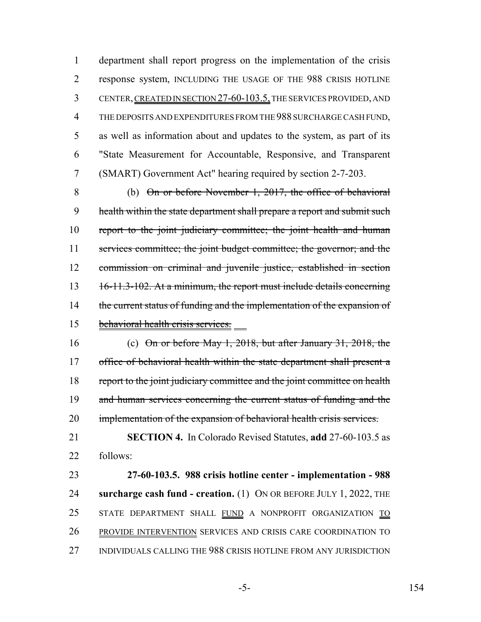department shall report progress on the implementation of the crisis response system, INCLUDING THE USAGE OF THE 988 CRISIS HOTLINE CENTER, CREATED IN SECTION 27-60-103.5, THE SERVICES PROVIDED, AND THE DEPOSITS AND EXPENDITURES FROM THE 988 SURCHARGE CASH FUND, as well as information about and updates to the system, as part of its "State Measurement for Accountable, Responsive, and Transparent (SMART) Government Act" hearing required by section 2-7-203.

 (b) On or before November 1, 2017, the office of behavioral 9 health within the state department shall prepare a report and submit such 10 report to the joint judiciary committee; the joint health and human 11 services committee; the joint budget committee; the governor; and the commission on criminal and juvenile justice, established in section 16-11.3-102. At a minimum, the report must include details concerning 14 the current status of funding and the implementation of the expansion of behavioral health crisis services.

- (c) On or before May 1, 2018, but after January 31, 2018, the 17 office of behavioral health within the state department shall present a 18 report to the joint judiciary committee and the joint committee on health 19 and human services concerning the current status of funding and the 20 implementation of the expansion of behavioral health crisis services.
- **SECTION 4.** In Colorado Revised Statutes, **add** 27-60-103.5 as follows:

 **27-60-103.5. 988 crisis hotline center - implementation - 988 surcharge cash fund - creation.** (1) ON OR BEFORE JULY 1, 2022, THE 25 STATE DEPARTMENT SHALL FUND A NONPROFIT ORGANIZATION TO PROVIDE INTERVENTION SERVICES AND CRISIS CARE COORDINATION TO INDIVIDUALS CALLING THE 988 CRISIS HOTLINE FROM ANY JURISDICTION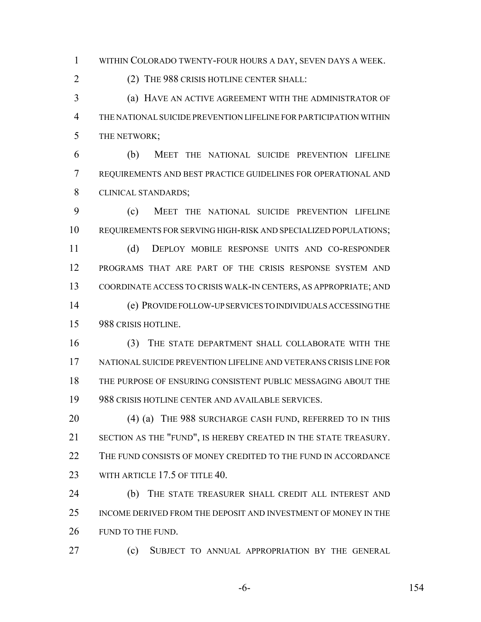WITHIN COLORADO TWENTY-FOUR HOURS A DAY, SEVEN DAYS A WEEK.

(2) THE 988 CRISIS HOTLINE CENTER SHALL:

 (a) HAVE AN ACTIVE AGREEMENT WITH THE ADMINISTRATOR OF THE NATIONAL SUICIDE PREVENTION LIFELINE FOR PARTICIPATION WITHIN THE NETWORK;

 (b) MEET THE NATIONAL SUICIDE PREVENTION LIFELINE REQUIREMENTS AND BEST PRACTICE GUIDELINES FOR OPERATIONAL AND CLINICAL STANDARDS;

 (c) MEET THE NATIONAL SUICIDE PREVENTION LIFELINE REQUIREMENTS FOR SERVING HIGH-RISK AND SPECIALIZED POPULATIONS;

 (d) DEPLOY MOBILE RESPONSE UNITS AND CO-RESPONDER PROGRAMS THAT ARE PART OF THE CRISIS RESPONSE SYSTEM AND COORDINATE ACCESS TO CRISIS WALK-IN CENTERS, AS APPROPRIATE; AND (e) PROVIDE FOLLOW-UP SERVICES TO INDIVIDUALS ACCESSING THE

988 CRISIS HOTLINE.

 (3) THE STATE DEPARTMENT SHALL COLLABORATE WITH THE NATIONAL SUICIDE PREVENTION LIFELINE AND VETERANS CRISIS LINE FOR THE PURPOSE OF ENSURING CONSISTENT PUBLIC MESSAGING ABOUT THE 988 CRISIS HOTLINE CENTER AND AVAILABLE SERVICES.

20 (4) (a) THE 988 SURCHARGE CASH FUND, REFERRED TO IN THIS SECTION AS THE "FUND", IS HEREBY CREATED IN THE STATE TREASURY. 22 THE FUND CONSISTS OF MONEY CREDITED TO THE FUND IN ACCORDANCE 23 WITH ARTICLE 17.5 OF TITLE 40.

 (b) THE STATE TREASURER SHALL CREDIT ALL INTEREST AND INCOME DERIVED FROM THE DEPOSIT AND INVESTMENT OF MONEY IN THE 26 FUND TO THE FUND.

(c) SUBJECT TO ANNUAL APPROPRIATION BY THE GENERAL

-6- 154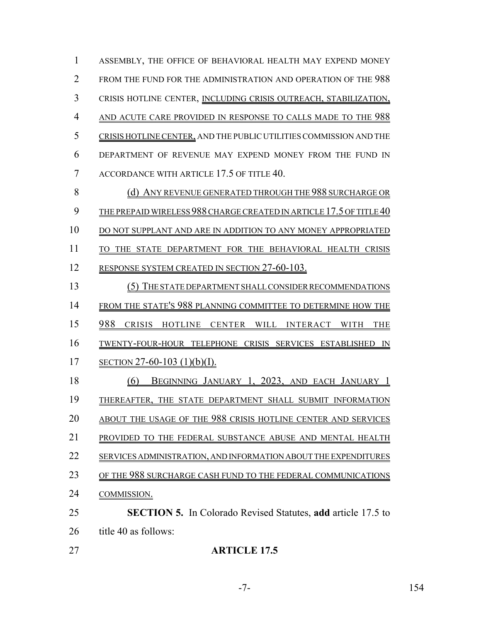ASSEMBLY, THE OFFICE OF BEHAVIORAL HEALTH MAY EXPEND MONEY FROM THE FUND FOR THE ADMINISTRATION AND OPERATION OF THE 988 CRISIS HOTLINE CENTER, INCLUDING CRISIS OUTREACH, STABILIZATION, 4 AND ACUTE CARE PROVIDED IN RESPONSE TO CALLS MADE TO THE 988 CRISIS HOTLINE CENTER, AND THE PUBLIC UTILITIES COMMISSION AND THE DEPARTMENT OF REVENUE MAY EXPEND MONEY FROM THE FUND IN 7 ACCORDANCE WITH ARTICLE 17.5 OF TITLE 40. 8 (d) ANY REVENUE GENERATED THROUGH THE 988 SURCHARGE OR THE PREPAID WIRELESS 988 CHARGE CREATED IN ARTICLE 17.5 OF TITLE 40 10 DO NOT SUPPLANT AND ARE IN ADDITION TO ANY MONEY APPROPRIATED 11 TO THE STATE DEPARTMENT FOR THE BEHAVIORAL HEALTH CRISIS 12 RESPONSE SYSTEM CREATED IN SECTION 27-60-103. (5) THE STATE DEPARTMENT SHALL CONSIDER RECOMMENDATIONS 14 FROM THE STATE'S 988 PLANNING COMMITTEE TO DETERMINE HOW THE 988 CRISIS HOTLINE CENTER WILL INTERACT WITH THE TWENTY-FOUR-HOUR TELEPHONE CRISIS SERVICES ESTABLISHED IN SECTION 27-60-103 (1)(b)(I). (6) BEGINNING JANUARY 1, 2023, AND EACH JANUARY 1 THEREAFTER, THE STATE DEPARTMENT SHALL SUBMIT INFORMATION ABOUT THE USAGE OF THE 988 CRISIS HOTLINE CENTER AND SERVICES PROVIDED TO THE FEDERAL SUBSTANCE ABUSE AND MENTAL HEALTH SERVICES ADMINISTRATION, AND INFORMATION ABOUT THE EXPENDITURES 23 OF THE 988 SURCHARGE CASH FUND TO THE FEDERAL COMMUNICATIONS COMMISSION. **SECTION 5.** In Colorado Revised Statutes, **add** article 17.5 to 26 title 40 as follows:

**ARTICLE 17.5**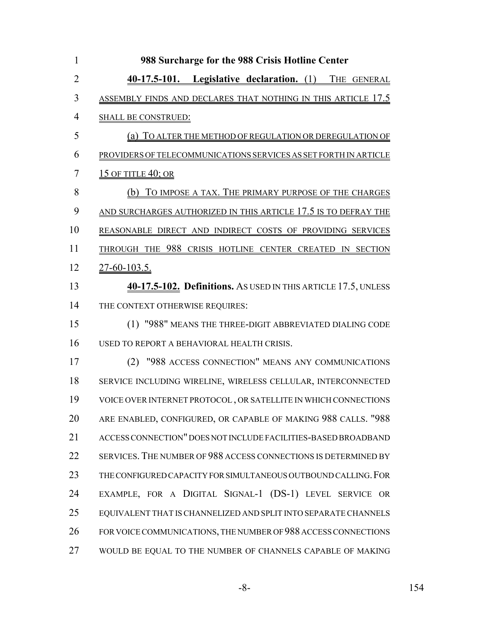| $\mathbf{1}$   | 988 Surcharge for the 988 Crisis Hotline Center                      |
|----------------|----------------------------------------------------------------------|
| $\overline{2}$ | 40-17.5-101. Legislative declaration. (1) THE GENERAL                |
| 3              | <u>ASSEMBLY FINDS AND DECLARES THAT NOTHING IN THIS ARTICLE 17.5</u> |
| $\overline{4}$ | <b>SHALL BE CONSTRUED:</b>                                           |
| 5              | (a) TO ALTER THE METHOD OF REGULATION OR DEREGULATION OF             |
| 6              | PROVIDERS OF TELECOMMUNICATIONS SERVICES AS SET FORTH IN ARTICLE     |
| 7              | <b>15 OF TITLE 40; OR</b>                                            |
| 8              | (b) TO IMPOSE A TAX. THE PRIMARY PURPOSE OF THE CHARGES              |
| 9              | AND SURCHARGES AUTHORIZED IN THIS ARTICLE 17.5 IS TO DEFRAY THE      |
| 10             | REASONABLE DIRECT AND INDIRECT COSTS OF PROVIDING SERVICES           |
| 11             | THROUGH THE 988 CRISIS HOTLINE CENTER CREATED IN SECTION             |
| 12             | 27-60-103.5.                                                         |
| 13             | 40-17.5-102. Definitions. As USED IN THIS ARTICLE 17.5, UNLESS       |
| 14             | THE CONTEXT OTHERWISE REQUIRES:                                      |
| 15             | (1) "988" MEANS THE THREE-DIGIT ABBREVIATED DIALING CODE             |
| 16             | USED TO REPORT A BEHAVIORAL HEALTH CRISIS.                           |
| 17             | (2) "988 ACCESS CONNECTION" MEANS ANY COMMUNICATIONS                 |
| 18             | SERVICE INCLUDING WIRELINE, WIRELESS CELLULAR, INTERCONNECTED        |
| 19             | VOICE OVER INTERNET PROTOCOL, OR SATELLITE IN WHICH CONNECTIONS      |
| 20             | ARE ENABLED, CONFIGURED, OR CAPABLE OF MAKING 988 CALLS. "988        |
| 21             | ACCESS CONNECTION" DOES NOT INCLUDE FACILITIES-BASED BROADBAND       |
| 22             | SERVICES. THE NUMBER OF 988 ACCESS CONNECTIONS IS DETERMINED BY      |
| 23             | THE CONFIGURED CAPACITY FOR SIMULTANEOUS OUTBOUND CALLING. FOR       |
| 24             | EXAMPLE, FOR A DIGITAL SIGNAL-1 (DS-1) LEVEL SERVICE OR              |
| 25             | EQUIVALENT THAT IS CHANNELIZED AND SPLIT INTO SEPARATE CHANNELS      |
| 26             | FOR VOICE COMMUNICATIONS, THE NUMBER OF 988 ACCESS CONNECTIONS       |
| 27             | WOULD BE EQUAL TO THE NUMBER OF CHANNELS CAPABLE OF MAKING           |

-8- 154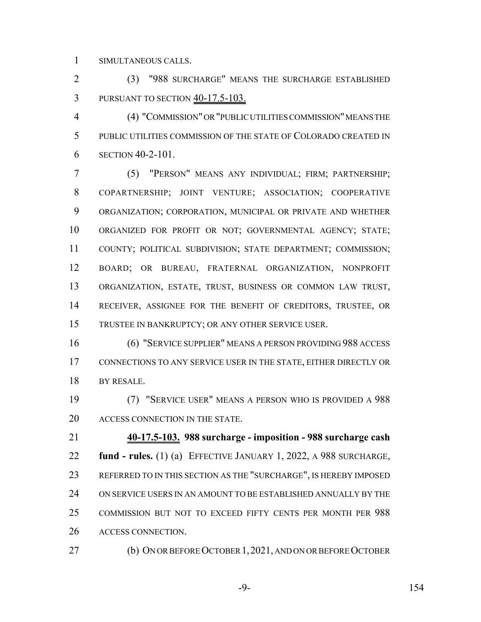SIMULTANEOUS CALLS.

 (3) "988 SURCHARGE" MEANS THE SURCHARGE ESTABLISHED PURSUANT TO SECTION 40-17.5-103.

 (4) "COMMISSION" OR "PUBLIC UTILITIES COMMISSION" MEANS THE PUBLIC UTILITIES COMMISSION OF THE STATE OF COLORADO CREATED IN SECTION 40-2-101.

 (5) "PERSON" MEANS ANY INDIVIDUAL; FIRM; PARTNERSHIP; COPARTNERSHIP; JOINT VENTURE; ASSOCIATION; COOPERATIVE ORGANIZATION; CORPORATION, MUNICIPAL OR PRIVATE AND WHETHER ORGANIZED FOR PROFIT OR NOT; GOVERNMENTAL AGENCY; STATE; COUNTY; POLITICAL SUBDIVISION; STATE DEPARTMENT; COMMISSION; BOARD; OR BUREAU, FRATERNAL ORGANIZATION, NONPROFIT ORGANIZATION, ESTATE, TRUST, BUSINESS OR COMMON LAW TRUST, RECEIVER, ASSIGNEE FOR THE BENEFIT OF CREDITORS, TRUSTEE, OR TRUSTEE IN BANKRUPTCY; OR ANY OTHER SERVICE USER.

 (6) "SERVICE SUPPLIER" MEANS A PERSON PROVIDING 988 ACCESS CONNECTIONS TO ANY SERVICE USER IN THE STATE, EITHER DIRECTLY OR BY RESALE.

 (7) "SERVICE USER" MEANS A PERSON WHO IS PROVIDED A 988 ACCESS CONNECTION IN THE STATE.

 **40-17.5-103. 988 surcharge - imposition - 988 surcharge cash fund - rules.** (1) (a) EFFECTIVE JANUARY 1, 2022, A 988 SURCHARGE, REFERRED TO IN THIS SECTION AS THE "SURCHARGE", IS HEREBY IMPOSED ON SERVICE USERS IN AN AMOUNT TO BE ESTABLISHED ANNUALLY BY THE COMMISSION BUT NOT TO EXCEED FIFTY CENTS PER MONTH PER 988 ACCESS CONNECTION.

(b) ON OR BEFORE OCTOBER 1,2021, AND ON OR BEFORE OCTOBER

-9- 154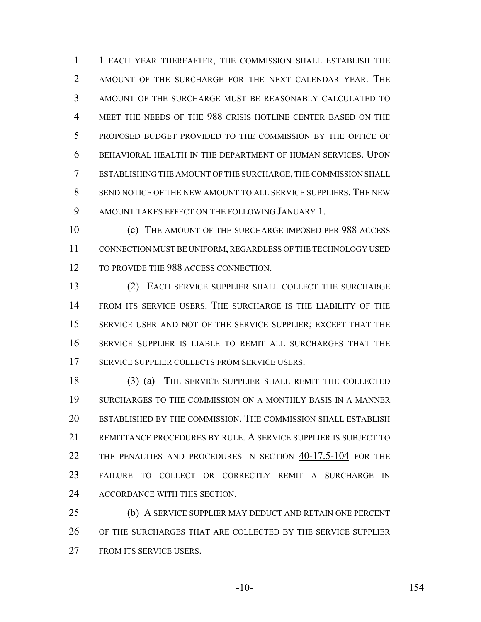1 EACH YEAR THEREAFTER, THE COMMISSION SHALL ESTABLISH THE AMOUNT OF THE SURCHARGE FOR THE NEXT CALENDAR YEAR. THE AMOUNT OF THE SURCHARGE MUST BE REASONABLY CALCULATED TO MEET THE NEEDS OF THE 988 CRISIS HOTLINE CENTER BASED ON THE PROPOSED BUDGET PROVIDED TO THE COMMISSION BY THE OFFICE OF BEHAVIORAL HEALTH IN THE DEPARTMENT OF HUMAN SERVICES. UPON ESTABLISHING THE AMOUNT OF THE SURCHARGE, THE COMMISSION SHALL SEND NOTICE OF THE NEW AMOUNT TO ALL SERVICE SUPPLIERS. THE NEW 9 AMOUNT TAKES EFFECT ON THE FOLLOWING JANUARY 1.

 (c) THE AMOUNT OF THE SURCHARGE IMPOSED PER 988 ACCESS CONNECTION MUST BE UNIFORM, REGARDLESS OF THE TECHNOLOGY USED 12 TO PROVIDE THE 988 ACCESS CONNECTION.

 (2) EACH SERVICE SUPPLIER SHALL COLLECT THE SURCHARGE FROM ITS SERVICE USERS. THE SURCHARGE IS THE LIABILITY OF THE SERVICE USER AND NOT OF THE SERVICE SUPPLIER; EXCEPT THAT THE SERVICE SUPPLIER IS LIABLE TO REMIT ALL SURCHARGES THAT THE 17 SERVICE SUPPLIER COLLECTS FROM SERVICE USERS.

 (3) (a) THE SERVICE SUPPLIER SHALL REMIT THE COLLECTED SURCHARGES TO THE COMMISSION ON A MONTHLY BASIS IN A MANNER ESTABLISHED BY THE COMMISSION. THE COMMISSION SHALL ESTABLISH REMITTANCE PROCEDURES BY RULE. A SERVICE SUPPLIER IS SUBJECT TO 22 THE PENALTIES AND PROCEDURES IN SECTION 40-17.5-104 FOR THE FAILURE TO COLLECT OR CORRECTLY REMIT A SURCHARGE IN ACCORDANCE WITH THIS SECTION.

 (b) A SERVICE SUPPLIER MAY DEDUCT AND RETAIN ONE PERCENT OF THE SURCHARGES THAT ARE COLLECTED BY THE SERVICE SUPPLIER FROM ITS SERVICE USERS.

-10- 154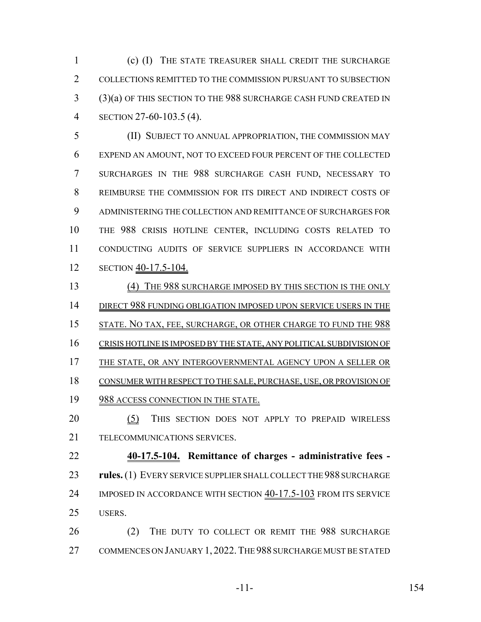(c) (I) THE STATE TREASURER SHALL CREDIT THE SURCHARGE COLLECTIONS REMITTED TO THE COMMISSION PURSUANT TO SUBSECTION (3)(a) OF THIS SECTION TO THE 988 SURCHARGE CASH FUND CREATED IN SECTION 27-60-103.5 (4).

 (II) SUBJECT TO ANNUAL APPROPRIATION, THE COMMISSION MAY EXPEND AN AMOUNT, NOT TO EXCEED FOUR PERCENT OF THE COLLECTED SURCHARGES IN THE 988 SURCHARGE CASH FUND, NECESSARY TO REIMBURSE THE COMMISSION FOR ITS DIRECT AND INDIRECT COSTS OF ADMINISTERING THE COLLECTION AND REMITTANCE OF SURCHARGES FOR THE 988 CRISIS HOTLINE CENTER, INCLUDING COSTS RELATED TO CONDUCTING AUDITS OF SERVICE SUPPLIERS IN ACCORDANCE WITH 12 SECTION  $\frac{40-17.5-104.}{s}$ 

 (4) THE 988 SURCHARGE IMPOSED BY THIS SECTION IS THE ONLY 14 DIRECT 988 FUNDING OBLIGATION IMPOSED UPON SERVICE USERS IN THE STATE. NO TAX, FEE, SURCHARGE, OR OTHER CHARGE TO FUND THE 988 CRISIS HOTLINE IS IMPOSED BY THE STATE, ANY POLITICAL SUBDIVISION OF 17 THE STATE, OR ANY INTERGOVERNMENTAL AGENCY UPON A SELLER OR CONSUMER WITH RESPECT TO THE SALE, PURCHASE, USE, OR PROVISION OF 19 988 ACCESS CONNECTION IN THE STATE.

20 (5) THIS SECTION DOES NOT APPLY TO PREPAID WIRELESS TELECOMMUNICATIONS SERVICES.

 **40-17.5-104. Remittance of charges - administrative fees - rules.** (1) EVERY SERVICE SUPPLIER SHALL COLLECT THE 988 SURCHARGE 24 IMPOSED IN ACCORDANCE WITH SECTION  $40-17.5-103$  From ITS SERVICE USERS.

 (2) THE DUTY TO COLLECT OR REMIT THE 988 SURCHARGE 27 COMMENCES ON JANUARY 1, 2022. THE 988 SURCHARGE MUST BE STATED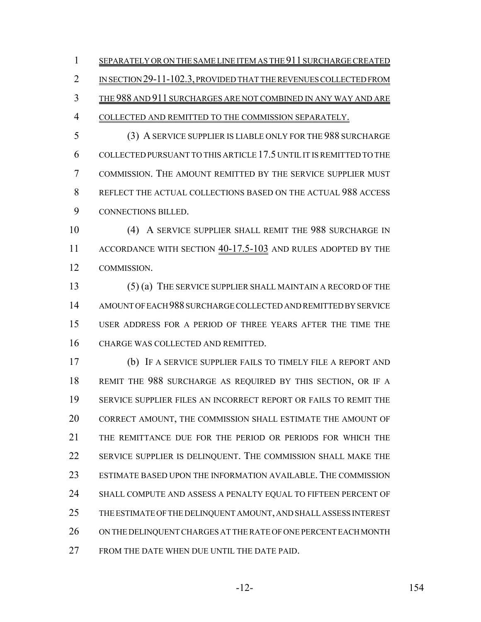1 SEPARATELY OR ON THE SAME LINE ITEM AS THE 911 SURCHARGE CREATED

2 IN SECTION 29-11-102.3, PROVIDED THAT THE REVENUES COLLECTED FROM

THE 988 AND 911 SURCHARGES ARE NOT COMBINED IN ANY WAY AND ARE

COLLECTED AND REMITTED TO THE COMMISSION SEPARATELY.

 (3) A SERVICE SUPPLIER IS LIABLE ONLY FOR THE 988 SURCHARGE COLLECTED PURSUANT TO THIS ARTICLE 17.5 UNTIL IT IS REMITTED TO THE COMMISSION. THE AMOUNT REMITTED BY THE SERVICE SUPPLIER MUST REFLECT THE ACTUAL COLLECTIONS BASED ON THE ACTUAL 988 ACCESS CONNECTIONS BILLED.

 (4) A SERVICE SUPPLIER SHALL REMIT THE 988 SURCHARGE IN 11 ACCORDANCE WITH SECTION  $40-17.5-103$  and rules adopted by the COMMISSION.

 (5) (a) THE SERVICE SUPPLIER SHALL MAINTAIN A RECORD OF THE AMOUNT OF EACH 988 SURCHARGE COLLECTED AND REMITTED BY SERVICE USER ADDRESS FOR A PERIOD OF THREE YEARS AFTER THE TIME THE CHARGE WAS COLLECTED AND REMITTED.

 (b) IF A SERVICE SUPPLIER FAILS TO TIMELY FILE A REPORT AND REMIT THE 988 SURCHARGE AS REQUIRED BY THIS SECTION, OR IF A SERVICE SUPPLIER FILES AN INCORRECT REPORT OR FAILS TO REMIT THE CORRECT AMOUNT, THE COMMISSION SHALL ESTIMATE THE AMOUNT OF THE REMITTANCE DUE FOR THE PERIOD OR PERIODS FOR WHICH THE SERVICE SUPPLIER IS DELINQUENT. THE COMMISSION SHALL MAKE THE ESTIMATE BASED UPON THE INFORMATION AVAILABLE. THE COMMISSION SHALL COMPUTE AND ASSESS A PENALTY EQUAL TO FIFTEEN PERCENT OF THE ESTIMATE OF THE DELINQUENT AMOUNT, AND SHALL ASSESS INTEREST ON THE DELINQUENT CHARGES AT THE RATE OF ONE PERCENT EACH MONTH FROM THE DATE WHEN DUE UNTIL THE DATE PAID.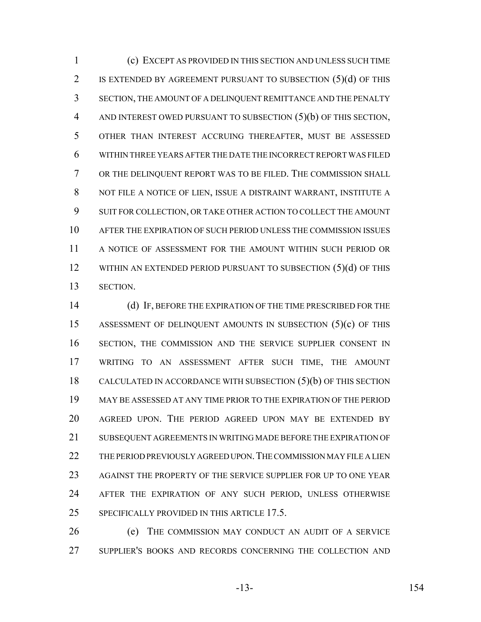(c) EXCEPT AS PROVIDED IN THIS SECTION AND UNLESS SUCH TIME IS EXTENDED BY AGREEMENT PURSUANT TO SUBSECTION (5)(d) OF THIS SECTION, THE AMOUNT OF A DELINQUENT REMITTANCE AND THE PENALTY AND INTEREST OWED PURSUANT TO SUBSECTION (5)(b) OF THIS SECTION, OTHER THAN INTEREST ACCRUING THEREAFTER, MUST BE ASSESSED WITHIN THREE YEARS AFTER THE DATE THE INCORRECT REPORT WAS FILED OR THE DELINQUENT REPORT WAS TO BE FILED. THE COMMISSION SHALL NOT FILE A NOTICE OF LIEN, ISSUE A DISTRAINT WARRANT, INSTITUTE A SUIT FOR COLLECTION, OR TAKE OTHER ACTION TO COLLECT THE AMOUNT AFTER THE EXPIRATION OF SUCH PERIOD UNLESS THE COMMISSION ISSUES A NOTICE OF ASSESSMENT FOR THE AMOUNT WITHIN SUCH PERIOD OR 12 WITHIN AN EXTENDED PERIOD PURSUANT TO SUBSECTION (5)(d) OF THIS SECTION.

 (d) IF, BEFORE THE EXPIRATION OF THE TIME PRESCRIBED FOR THE ASSESSMENT OF DELINQUENT AMOUNTS IN SUBSECTION (5)(c) OF THIS SECTION, THE COMMISSION AND THE SERVICE SUPPLIER CONSENT IN WRITING TO AN ASSESSMENT AFTER SUCH TIME, THE AMOUNT CALCULATED IN ACCORDANCE WITH SUBSECTION (5)(b) OF THIS SECTION MAY BE ASSESSED AT ANY TIME PRIOR TO THE EXPIRATION OF THE PERIOD AGREED UPON. THE PERIOD AGREED UPON MAY BE EXTENDED BY SUBSEQUENT AGREEMENTS IN WRITING MADE BEFORE THE EXPIRATION OF THE PERIOD PREVIOUSLY AGREED UPON.THE COMMISSION MAY FILE A LIEN AGAINST THE PROPERTY OF THE SERVICE SUPPLIER FOR UP TO ONE YEAR AFTER THE EXPIRATION OF ANY SUCH PERIOD, UNLESS OTHERWISE SPECIFICALLY PROVIDED IN THIS ARTICLE 17.5.

 (e) THE COMMISSION MAY CONDUCT AN AUDIT OF A SERVICE SUPPLIER'S BOOKS AND RECORDS CONCERNING THE COLLECTION AND

-13- 154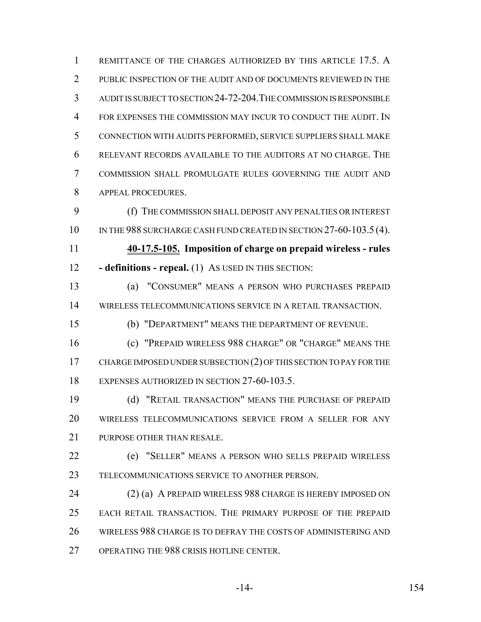REMITTANCE OF THE CHARGES AUTHORIZED BY THIS ARTICLE 17.5. A 2 PUBLIC INSPECTION OF THE AUDIT AND OF DOCUMENTS REVIEWED IN THE AUDIT IS SUBJECT TO SECTION 24-72-204.THE COMMISSION IS RESPONSIBLE FOR EXPENSES THE COMMISSION MAY INCUR TO CONDUCT THE AUDIT. IN CONNECTION WITH AUDITS PERFORMED, SERVICE SUPPLIERS SHALL MAKE RELEVANT RECORDS AVAILABLE TO THE AUDITORS AT NO CHARGE. THE COMMISSION SHALL PROMULGATE RULES GOVERNING THE AUDIT AND APPEAL PROCEDURES.

 (f) THE COMMISSION SHALL DEPOSIT ANY PENALTIES OR INTEREST 10 IN THE 988 SURCHARGE CASH FUND CREATED IN SECTION 27-60-103.5 (4).

 **40-17.5-105. Imposition of charge on prepaid wireless - rules - definitions - repeal.** (1) AS USED IN THIS SECTION:

 (a) "CONSUMER" MEANS A PERSON WHO PURCHASES PREPAID WIRELESS TELECOMMUNICATIONS SERVICE IN A RETAIL TRANSACTION.

(b) "DEPARTMENT" MEANS THE DEPARTMENT OF REVENUE.

 (c) "PREPAID WIRELESS 988 CHARGE" OR "CHARGE" MEANS THE CHARGE IMPOSED UNDER SUBSECTION (2) OF THIS SECTION TO PAY FOR THE EXPENSES AUTHORIZED IN SECTION 27-60-103.5.

 (d) "RETAIL TRANSACTION" MEANS THE PURCHASE OF PREPAID WIRELESS TELECOMMUNICATIONS SERVICE FROM A SELLER FOR ANY PURPOSE OTHER THAN RESALE.

 (e) "SELLER" MEANS A PERSON WHO SELLS PREPAID WIRELESS TELECOMMUNICATIONS SERVICE TO ANOTHER PERSON.

24 (2) (a) A PREPAID WIRELESS 988 CHARGE IS HEREBY IMPOSED ON EACH RETAIL TRANSACTION. THE PRIMARY PURPOSE OF THE PREPAID WIRELESS 988 CHARGE IS TO DEFRAY THE COSTS OF ADMINISTERING AND OPERATING THE 988 CRISIS HOTLINE CENTER.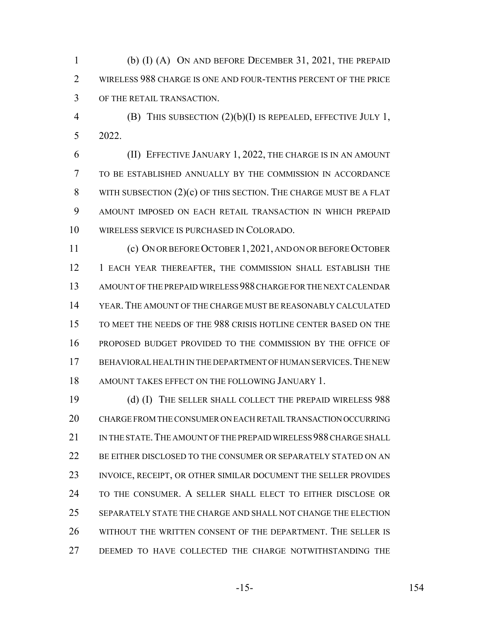(b) (I) (A) ON AND BEFORE DECEMBER 31, 2021, THE PREPAID 2 WIRELESS 988 CHARGE IS ONE AND FOUR-TENTHS PERCENT OF THE PRICE OF THE RETAIL TRANSACTION.

 (B) THIS SUBSECTION (2)(b)(I) IS REPEALED, EFFECTIVE JULY 1, 2022.

 (II) EFFECTIVE JANUARY 1, 2022, THE CHARGE IS IN AN AMOUNT TO BE ESTABLISHED ANNUALLY BY THE COMMISSION IN ACCORDANCE 8 WITH SUBSECTION (2)(c) OF THIS SECTION. THE CHARGE MUST BE A FLAT AMOUNT IMPOSED ON EACH RETAIL TRANSACTION IN WHICH PREPAID WIRELESS SERVICE IS PURCHASED IN COLORADO.

 (c) ON OR BEFORE OCTOBER 1,2021, AND ON OR BEFORE OCTOBER 1 EACH YEAR THEREAFTER, THE COMMISSION SHALL ESTABLISH THE AMOUNT OF THE PREPAID WIRELESS 988 CHARGE FOR THE NEXT CALENDAR YEAR.THE AMOUNT OF THE CHARGE MUST BE REASONABLY CALCULATED TO MEET THE NEEDS OF THE 988 CRISIS HOTLINE CENTER BASED ON THE PROPOSED BUDGET PROVIDED TO THE COMMISSION BY THE OFFICE OF BEHAVIORAL HEALTH IN THE DEPARTMENT OF HUMAN SERVICES.THE NEW AMOUNT TAKES EFFECT ON THE FOLLOWING JANUARY 1.

 (d) (I) THE SELLER SHALL COLLECT THE PREPAID WIRELESS 988 CHARGE FROM THE CONSUMER ON EACH RETAIL TRANSACTION OCCURRING 21 IN THE STATE. THE AMOUNT OF THE PREPAID WIRELESS 988 CHARGE SHALL BE EITHER DISCLOSED TO THE CONSUMER OR SEPARATELY STATED ON AN INVOICE, RECEIPT, OR OTHER SIMILAR DOCUMENT THE SELLER PROVIDES TO THE CONSUMER. A SELLER SHALL ELECT TO EITHER DISCLOSE OR SEPARATELY STATE THE CHARGE AND SHALL NOT CHANGE THE ELECTION WITHOUT THE WRITTEN CONSENT OF THE DEPARTMENT. THE SELLER IS DEEMED TO HAVE COLLECTED THE CHARGE NOTWITHSTANDING THE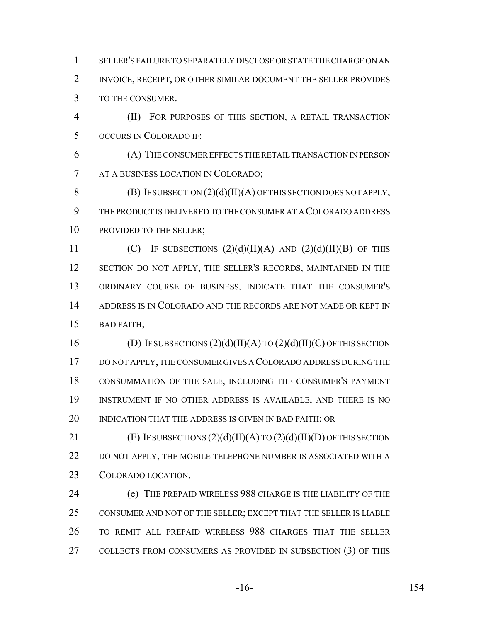SELLER'S FAILURE TO SEPARATELY DISCLOSE OR STATE THE CHARGE ON AN INVOICE, RECEIPT, OR OTHER SIMILAR DOCUMENT THE SELLER PROVIDES TO THE CONSUMER.

 (II) FOR PURPOSES OF THIS SECTION, A RETAIL TRANSACTION OCCURS IN COLORADO IF:

 (A) THE CONSUMER EFFECTS THE RETAIL TRANSACTION IN PERSON AT A BUSINESS LOCATION IN COLORADO;

8 (B) IF SUBSECTION  $(2)(d)(II)(A)$  OF THIS SECTION DOES NOT APPLY, THE PRODUCT IS DELIVERED TO THE CONSUMER AT A COLORADO ADDRESS 10 PROVIDED TO THE SELLER:

11 (C) IF SUBSECTIONS  $(2)(d)(II)(A)$  AND  $(2)(d)(II)(B)$  OF THIS 12 SECTION DO NOT APPLY, THE SELLER'S RECORDS, MAINTAINED IN THE ORDINARY COURSE OF BUSINESS, INDICATE THAT THE CONSUMER'S ADDRESS IS IN COLORADO AND THE RECORDS ARE NOT MADE OR KEPT IN BAD FAITH;

16 (D) IF SUBSECTIONS  $(2)(d)(II)(A)$  TO  $(2)(d)(II)(C)$  OF THIS SECTION DO NOT APPLY, THE CONSUMER GIVES A COLORADO ADDRESS DURING THE CONSUMMATION OF THE SALE, INCLUDING THE CONSUMER'S PAYMENT INSTRUMENT IF NO OTHER ADDRESS IS AVAILABLE, AND THERE IS NO 20 INDICATION THAT THE ADDRESS IS GIVEN IN BAD FAITH; OR

21 (E) IF SUBSECTIONS  $(2)(d)(II)(A)$  TO  $(2)(d)(II)(D)$  OF THIS SECTION 22 DO NOT APPLY, THE MOBILE TELEPHONE NUMBER IS ASSOCIATED WITH A COLORADO LOCATION.

 (e) THE PREPAID WIRELESS 988 CHARGE IS THE LIABILITY OF THE CONSUMER AND NOT OF THE SELLER; EXCEPT THAT THE SELLER IS LIABLE TO REMIT ALL PREPAID WIRELESS 988 CHARGES THAT THE SELLER COLLECTS FROM CONSUMERS AS PROVIDED IN SUBSECTION (3) OF THIS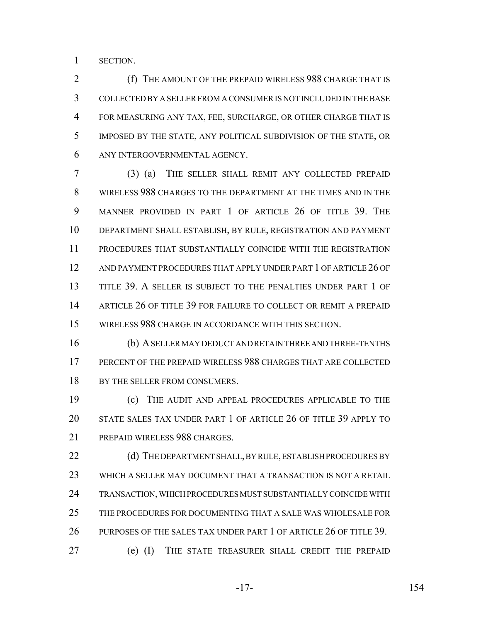SECTION.

**(f)** THE AMOUNT OF THE PREPAID WIRELESS 988 CHARGE THAT IS COLLECTED BY A SELLER FROM A CONSUMER IS NOT INCLUDED IN THE BASE FOR MEASURING ANY TAX, FEE, SURCHARGE, OR OTHER CHARGE THAT IS IMPOSED BY THE STATE, ANY POLITICAL SUBDIVISION OF THE STATE, OR ANY INTERGOVERNMENTAL AGENCY.

 (3) (a) THE SELLER SHALL REMIT ANY COLLECTED PREPAID WIRELESS 988 CHARGES TO THE DEPARTMENT AT THE TIMES AND IN THE MANNER PROVIDED IN PART 1 OF ARTICLE 26 OF TITLE 39. THE DEPARTMENT SHALL ESTABLISH, BY RULE, REGISTRATION AND PAYMENT PROCEDURES THAT SUBSTANTIALLY COINCIDE WITH THE REGISTRATION AND PAYMENT PROCEDURES THAT APPLY UNDER PART 1 OF ARTICLE 26 OF TITLE 39. A SELLER IS SUBJECT TO THE PENALTIES UNDER PART 1 OF ARTICLE 26 OF TITLE 39 FOR FAILURE TO COLLECT OR REMIT A PREPAID WIRELESS 988 CHARGE IN ACCORDANCE WITH THIS SECTION.

 (b) A SELLER MAY DEDUCT AND RETAIN THREE AND THREE-TENTHS PERCENT OF THE PREPAID WIRELESS 988 CHARGES THAT ARE COLLECTED 18 BY THE SELLER FROM CONSUMERS.

 (c) THE AUDIT AND APPEAL PROCEDURES APPLICABLE TO THE STATE SALES TAX UNDER PART 1 OF ARTICLE 26 OF TITLE 39 APPLY TO PREPAID WIRELESS 988 CHARGES.

22 (d) THE DEPARTMENT SHALL, BY RULE, ESTABLISH PROCEDURES BY WHICH A SELLER MAY DOCUMENT THAT A TRANSACTION IS NOT A RETAIL TRANSACTION, WHICH PROCEDURES MUST SUBSTANTIALLY COINCIDE WITH THE PROCEDURES FOR DOCUMENTING THAT A SALE WAS WHOLESALE FOR 26 PURPOSES OF THE SALES TAX UNDER PART 1 OF ARTICLE 26 OF TITLE 39. (e) (I) THE STATE TREASURER SHALL CREDIT THE PREPAID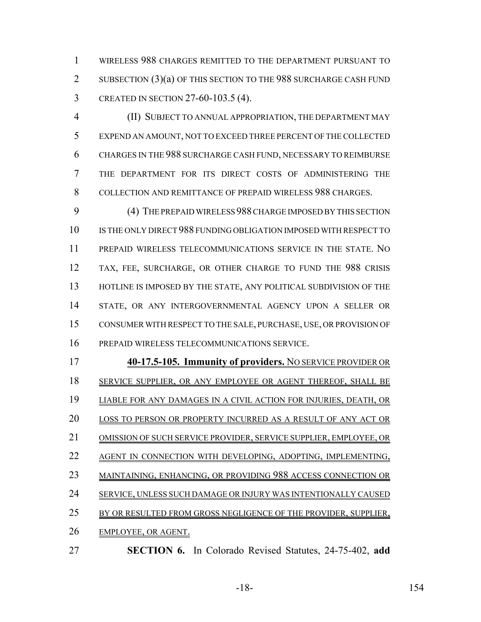WIRELESS 988 CHARGES REMITTED TO THE DEPARTMENT PURSUANT TO 2 SUBSECTION (3)(a) OF THIS SECTION TO THE 988 SURCHARGE CASH FUND CREATED IN SECTION 27-60-103.5 (4).

 (II) SUBJECT TO ANNUAL APPROPRIATION, THE DEPARTMENT MAY EXPEND AN AMOUNT, NOT TO EXCEED THREE PERCENT OF THE COLLECTED CHARGES IN THE 988 SURCHARGE CASH FUND, NECESSARY TO REIMBURSE THE DEPARTMENT FOR ITS DIRECT COSTS OF ADMINISTERING THE COLLECTION AND REMITTANCE OF PREPAID WIRELESS 988 CHARGES.

 (4) THE PREPAID WIRELESS 988 CHARGE IMPOSED BY THIS SECTION IS THE ONLY DIRECT 988 FUNDING OBLIGATION IMPOSED WITH RESPECT TO PREPAID WIRELESS TELECOMMUNICATIONS SERVICE IN THE STATE. NO TAX, FEE, SURCHARGE, OR OTHER CHARGE TO FUND THE 988 CRISIS 13 HOTLINE IS IMPOSED BY THE STATE, ANY POLITICAL SUBDIVISION OF THE STATE, OR ANY INTERGOVERNMENTAL AGENCY UPON A SELLER OR CONSUMER WITH RESPECT TO THE SALE, PURCHASE, USE, OR PROVISION OF PREPAID WIRELESS TELECOMMUNICATIONS SERVICE.

- **40-17.5-105. Immunity of providers.** NO SERVICE PROVIDER OR SERVICE SUPPLIER, OR ANY EMPLOYEE OR AGENT THEREOF, SHALL BE LIABLE FOR ANY DAMAGES IN A CIVIL ACTION FOR INJURIES, DEATH, OR LOSS TO PERSON OR PROPERTY INCURRED AS A RESULT OF ANY ACT OR OMISSION OF SUCH SERVICE PROVIDER, SERVICE SUPPLIER, EMPLOYEE, OR 22 AGENT IN CONNECTION WITH DEVELOPING, ADOPTING, IMPLEMENTING, MAINTAINING, ENHANCING, OR PROVIDING 988 ACCESS CONNECTION OR SERVICE, UNLESS SUCH DAMAGE OR INJURY WAS INTENTIONALLY CAUSED 25 BY OR RESULTED FROM GROSS NEGLIGENCE OF THE PROVIDER, SUPPLIER, EMPLOYEE, OR AGENT.
- **SECTION 6.** In Colorado Revised Statutes, 24-75-402, **add**